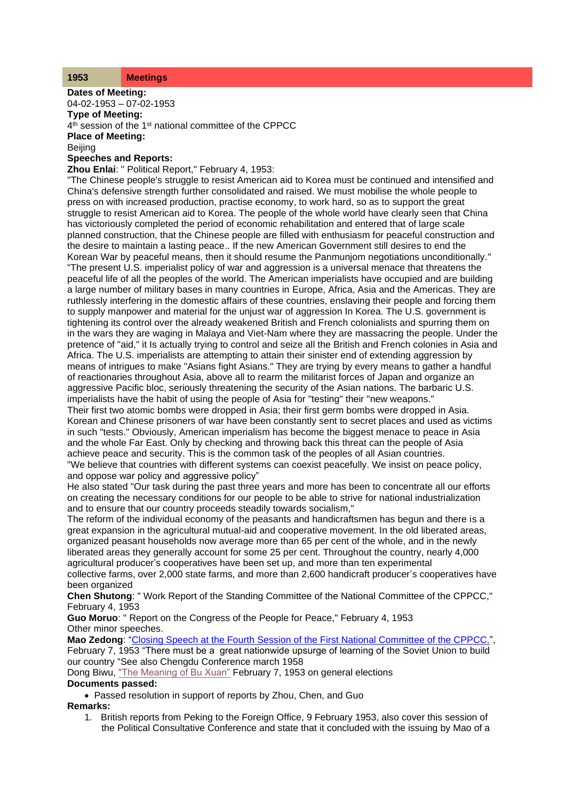## **1953 Meetings**

**Dates of Meeting:**

04-02-1953 – 07-02-1953

**Type of Meeting:**

4<sup>th</sup> session of the 1<sup>st</sup> national committee of the CPPCC **Place of Meeting:**

**Beijing** 

## **Speeches and Reports:**

**Zhou Enlai**: " Political Report," February 4, 1953:

"The Chinese people's struggle to resist American aid to Korea must be continued and intensified and China's defensive strength further consolidated and raised. We must mobilise the whole people to press on with increased production, practise economy, to work hard, so as to support the great struggle to resist American aid to Korea. The people of the whole world have clearly seen that China has victoriously completed the period of economic rehabilitation and entered that of large scale planned construction, that the Chinese people are filled with enthusiasm for peaceful construction and the desire to maintain a lasting peace.. If the new American Government still desires to end the Korean War by peaceful means, then it should resume the Panmunjom negotiations unconditionally." "The present U.S. imperialist policy of war and aggression is a universal menace that threatens the peaceful life of all the peoples of the world. The American imperialists have occupied and are building a large number of military bases in many countries in Europe, Africa, Asia and the Americas. They are ruthlessly interfering in the domestic affairs of these countries, enslaving their people and forcing them to supply manpower and material for the unjust war of aggression In Korea. The U.S. government is tightening its control over the already weakened British and French colonialists and spurring them on in the wars they are waging in Malaya and Viet-Nam where they are massacring the people. Under the pretence of "aid," it Is actually trying to control and seize all the British and French colonies in Asia and Africa. The U.S. imperialists are attempting to attain their sinister end of extending aggression by means of intrigues to make "Asians fight Asians." They are trying by every means to gather a handful of reactionaries throughout Asia, above all to rearm the militarist forces of Japan and organize an aggressive Pacific bloc, seriously threatening the security of the Asian nations. The barbaric U.S. imperialists have the habit of using the people of Asia for "testing" their "new weapons."

Their first two atomic bombs were dropped in Asia; their first germ bombs were dropped in Asia. Korean and Chinese prisoners of war have been constantly sent to secret places and used as victims in such "tests." Obviously, American imperialism has become the biggest menace to peace in Asia and the whole Far East. Only by checking and throwing back this threat can the people of Asia achieve peace and security. This is the common task of the peoples of all Asian countries.

"We believe that countries with different systems can coexist peacefully. We insist on peace policy, and oppose war policy and aggressive policy"

He also stated "Our task during the past three years and more has been to concentrate all our efforts on creating the necessary conditions for our people to be able to strive for national industrialization and to ensure that our country proceeds steadily towards socialism,"

The reform of the individual economy of the peasants and handicraftsmen has begun and there is a great expansion in the agricultural mutual-aid and cooperative movement. In the old liberated areas, organized peasant households now average more than 65 per cent of the whole, and in the newly liberated areas they generally account for some 25 per cent. Throughout the country, nearly 4,000 agricultural producer's cooperatives have been set up, and more than ten experimental

collective farms, over 2,000 state farms, and more than 2,600 handicraft producer's cooperatives have been organized

**Chen Shutong**: " Work Report of the Standing Committee of the National Committee of the CPPCC," February 4, 1953

**Guo Moruo**: " Report on the Congress of the People for Peace," February 4, 1953 Other minor speeches.

Mao Zedong: ["Closing Speech at the Fourth Session of the First National Committee of the CPPCC."](http://www.commonprogram.science/documents/Closing%20Speech%20at%20the%20Fourth%20Session%20of%20the%20First%20National%20Committee%20of%20the%20CPPCC.pdf), February 7, 1953 "There must be a great nationwide upsurge of learning of the Soviet Union to build our country "See also Chengdu Conference march 1958

Dong Biwu, ["The Meaning of Bu Xuan"](http://www.commonprogram.science/documents/The%20Meaning%20of%20Bu%20Xuan.pdf) February 7, 1953 on general elections **Documents passed:**

• Passed resolution in support of reports by Zhou, Chen, and Guo **Remarks:**

1. British reports from Peking to the Foreign Office, 9 February 1953, also cover this session of the Political Consultative Conference and state that it concluded with the issuing by Mao of a